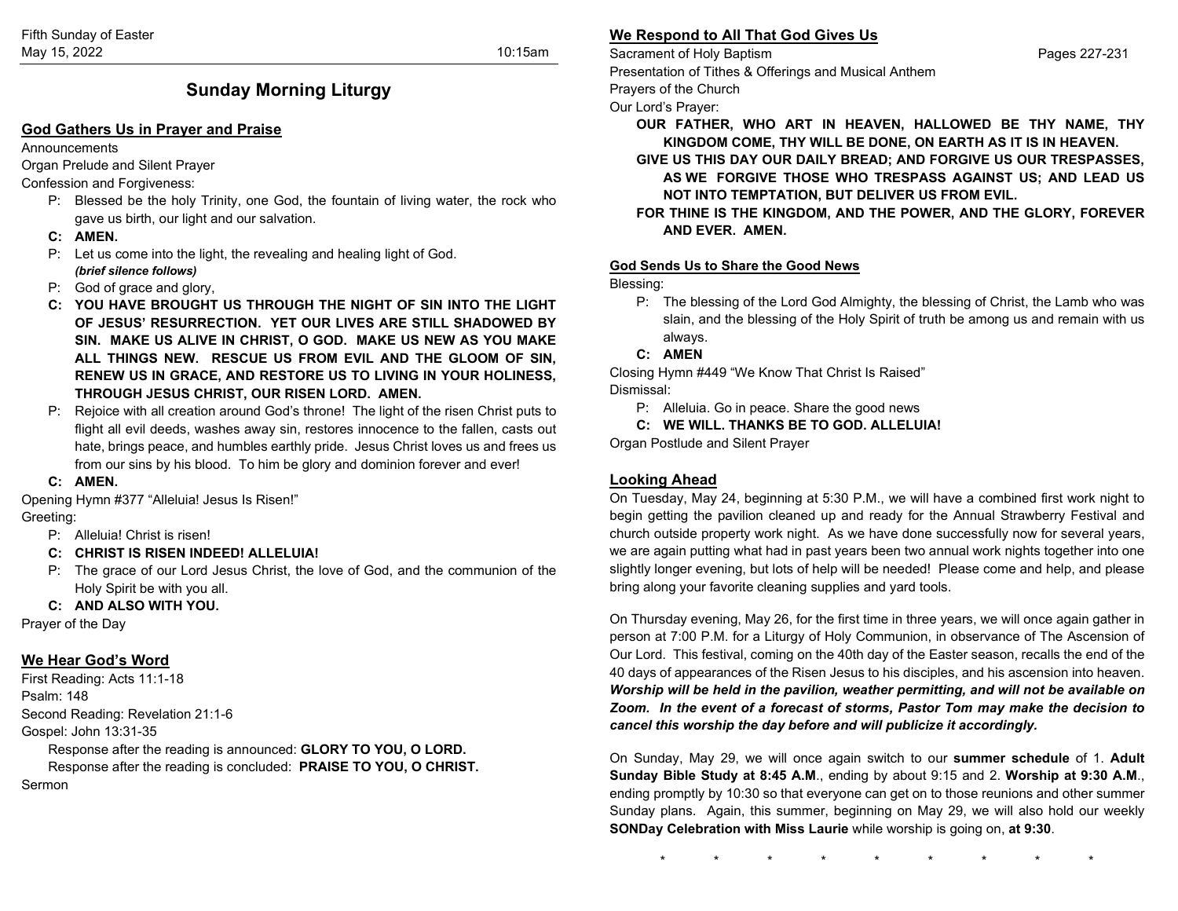# **Sunday Morning Liturgy**

### **God Gathers Us in Prayer and Praise**

#### Announcements

Organ Prelude and Silent Prayer

### Confession and Forgiveness:

- P: Blessed be the holy Trinity, one God, the fountain of living water, the rock who gave us birth, our light and our salvation.
- **C: AMEN.**
- P: Let us come into the light, the revealing and healing light of God. *(brief silence follows)*
- P: God of grace and glory,
- **C: YOU HAVE BROUGHT US THROUGH THE NIGHT OF SIN INTO THE LIGHT OF JESUS' RESURRECTION. YET OUR LIVES ARE STILL SHADOWED BY SIN. MAKE US ALIVE IN CHRIST, O GOD. MAKE US NEW AS YOU MAKE ALL THINGS NEW. RESCUE US FROM EVIL AND THE GLOOM OF SIN, RENEW US IN GRACE, AND RESTORE US TO LIVING IN YOUR HOLINESS, THROUGH JESUS CHRIST, OUR RISEN LORD. AMEN.**
- P: Rejoice with all creation around God's throne! The light of the risen Christ puts to flight all evil deeds, washes away sin, restores innocence to the fallen, casts out hate, brings peace, and humbles earthly pride. Jesus Christ loves us and frees us from our sins by his blood. To him be glory and dominion forever and ever!
- **C: AMEN.**

Opening Hymn #377 "Alleluia! Jesus Is Risen!"

# Greeting:

- P: Alleluia! Christ is risen!
- **C: CHRIST IS RISEN INDEED! ALLELUIA!**
- P: The grace of our Lord Jesus Christ, the love of God, and the communion of the Holy Spirit be with you all.

## **C: AND ALSO WITH YOU.**

Prayer of the Day

# **We Hear God's Word**

First Reading: Acts 11:1-18 Psalm: 148 Second Reading: Revelation 21:1-6 Gospel: John 13:31-35

Response after the reading is announced: **GLORY TO YOU, O LORD.** Response after the reading is concluded: **PRAISE TO YOU, O CHRIST.** Sermon

# **We Respond to All That God Gives Us**

Sacrament of Holy Baptism Pages 227-231 Presentation of Tithes & Offerings and Musical Anthem

Prayers of the Church

Our Lord's Prayer:

- **OUR FATHER, WHO ART IN HEAVEN, HALLOWED BE THY NAME, THY KINGDOM COME, THY WILL BE DONE, ON EARTH AS IT IS IN HEAVEN.**
- **GIVE US THIS DAY OUR DAILY BREAD; AND FORGIVE US OUR TRESPASSES, AS WE FORGIVE THOSE WHO TRESPASS AGAINST US; AND LEAD US NOT INTO TEMPTATION, BUT DELIVER US FROM EVIL.**
- **FOR THINE IS THE KINGDOM, AND THE POWER, AND THE GLORY, FOREVER AND EVER. AMEN.**

### **God Sends Us to Share the Good News**

Blessing:

P: The blessing of the Lord God Almighty, the blessing of Christ, the Lamb who was slain, and the blessing of the Holy Spirit of truth be among us and remain with us always.

## **C: AMEN**

Closing Hymn #449 "We Know That Christ Is Raised" Dismissal:

P: Alleluia. Go in peace. Share the good news

**C: WE WILL. THANKS BE TO GOD. ALLELUIA!**

Organ Postlude and Silent Prayer

## **Looking Ahead**

On Tuesday, May 24, beginning at 5:30 P.M., we will have a combined first work night to begin getting the pavilion cleaned up and ready for the Annual Strawberry Festival and church outside property work night. As we have done successfully now for several years, we are again putting what had in past years been two annual work nights together into one slightly longer evening, but lots of help will be needed! Please come and help, and please bring along your favorite cleaning supplies and yard tools.

On Thursday evening, May 26, for the first time in three years, we will once again gather in person at 7:00 P.M. for a Liturgy of Holy Communion, in observance of The Ascension of Our Lord. This festival, coming on the 40th day of the Easter season, recalls the end of the 40 days of appearances of the Risen Jesus to his disciples, and his ascension into heaven. *Worship will be held in the pavilion, weather permitting, and will not be available on Zoom. In the event of a forecast of storms, Pastor Tom may make the decision to cancel this worship the day before and will publicize it accordingly.*

On Sunday, May 29, we will once again switch to our **summer schedule** of 1. **Adult Sunday Bible Study at 8:45 A.M**., ending by about 9:15 and 2. **Worship at 9:30 A.M**., ending promptly by 10:30 so that everyone can get on to those reunions and other summer Sunday plans. Again, this summer, beginning on May 29, we will also hold our weekly **SONDay Celebration with Miss Laurie** while worship is going on, **at 9:30**.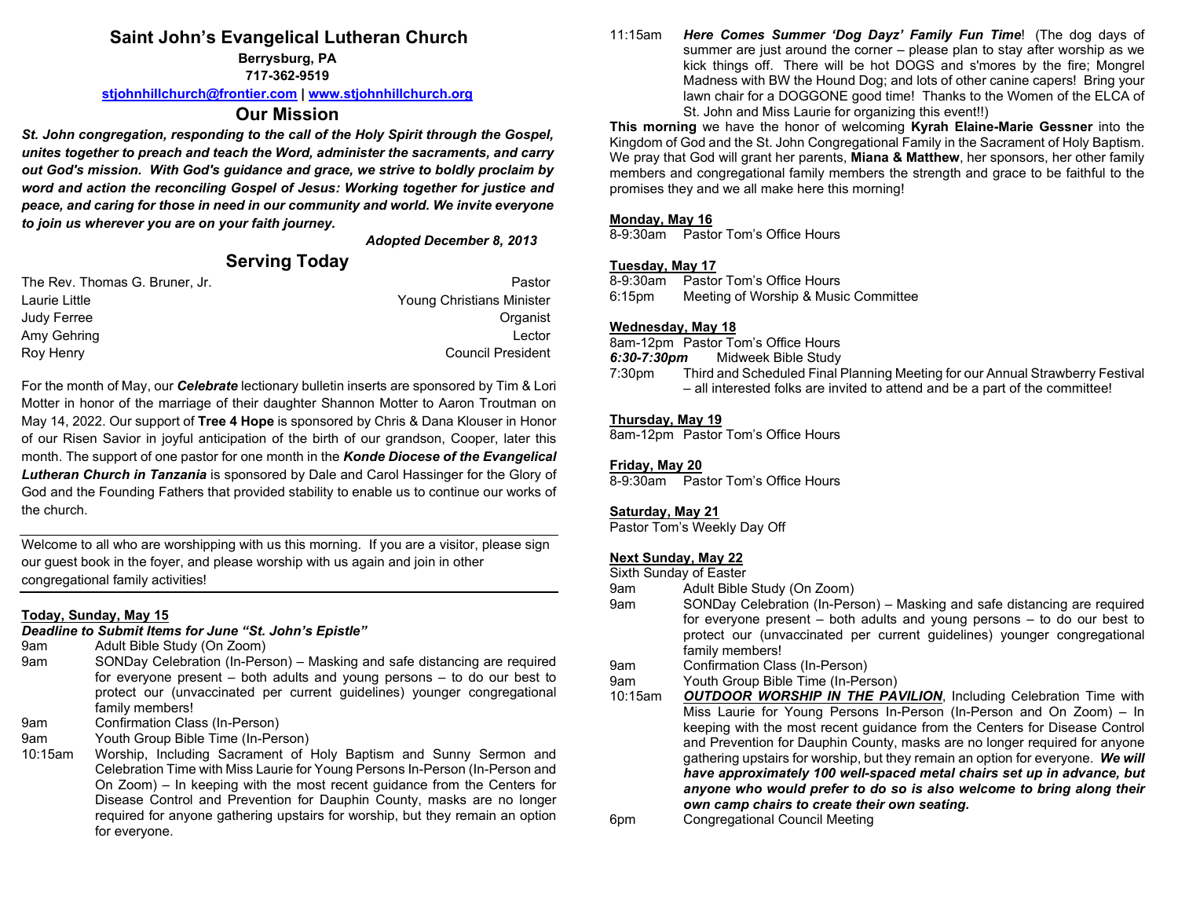# **Saint John's Evangelical Lutheran Church**

**Berrysburg, PA**

**717-362-9519**

**[stjohnhillchurch@frontier.com](mailto:stjohnhillchurch@frontier.com) | [www.stjohnhillchurch.org](http://www.stjohnhillchurch.org/)**

# **Our Mission**

*St. John congregation, responding to the call of the Holy Spirit through the Gospel, unites together to preach and teach the Word, administer the sacraments, and carry out God's mission. With God's guidance and grace, we strive to boldly proclaim by word and action the reconciling Gospel of Jesus: Working together for justice and peace, and caring for those in need in our community and world. We invite everyone to join us wherever you are on your faith journey.*

*Adopted December 8, 2013*

# **Serving Today**

| The Rev. Thomas G. Bruner, Jr. | Pastor                    |
|--------------------------------|---------------------------|
| Laurie Little                  | Young Christians Minister |
| Judy Ferree                    | Organist                  |
| Amy Gehring                    | Lector                    |
| Roy Henry                      | <b>Council President</b>  |

For the month of May, our *Celebrate* lectionary bulletin inserts are sponsored by Tim & Lori Motter in honor of the marriage of their daughter Shannon Motter to Aaron Troutman on May 14, 2022. Our support of **Tree 4 Hope** is sponsored by Chris & Dana Klouser in Honor of our Risen Savior in joyful anticipation of the birth of our grandson, Cooper, later this month. The support of one pastor for one month in the *Konde Diocese of the Evangelical Lutheran Church in Tanzania* is sponsored by Dale and Carol Hassinger for the Glory of God and the Founding Fathers that provided stability to enable us to continue our works of the church.

Welcome to all who are worshipping with us this morning. If you are a visitor, please sign our guest book in the foyer, and please worship with us again and join in other congregational family activities!

### **Today, Sunday, May 15**

*Deadline to Submit Items for June "St. John's Epistle"*

- 9am Adult Bible Study (On Zoom)
- 9am SONDay Celebration (In-Person) Masking and safe distancing are required for everyone present – both adults and young persons – to do our best to protect our (unvaccinated per current guidelines) younger congregational family members!
- 9am Confirmation Class (In-Person)
- 9am Youth Group Bible Time (In-Person)

10:15am Worship, Including Sacrament of Holy Baptism and Sunny Sermon and Celebration Time with Miss Laurie for Young Persons In-Person (In-Person and On Zoom) – In keeping with the most recent guidance from the Centers for Disease Control and Prevention for Dauphin County, masks are no longer required for anyone gathering upstairs for worship, but they remain an option for everyone.

11:15am *Here Comes Summer 'Dog Dayz' Family Fun Time*! (The dog days of summer are just around the corner – please plan to stay after worship as we kick things off. There will be hot DOGS and s'mores by the fire; Mongrel Madness with BW the Hound Dog; and lots of other canine capers! Bring your lawn chair for a DOGGONE good time! Thanks to the Women of the ELCA of St. John and Miss Laurie for organizing this event!!)

**This morning** we have the honor of welcoming **Kyrah Elaine-Marie Gessner** into the Kingdom of God and the St. John Congregational Family in the Sacrament of Holy Baptism. We pray that God will grant her parents, **Miana & Matthew**, her sponsors, her other family members and congregational family members the strength and grace to be faithful to the promises they and we all make here this morning!

### **Monday, May 16**

8-9:30am Pastor Tom's Office Hours

# **Tuesday, May 17**

Pastor Tom's Office Hours 6:15pm Meeting of Worship & Music Committee

## **Wednesday, May 18**

8am-12pm Pastor Tom's Office Hours

*6:30-7:30pm* Midweek Bible Study

Third and Scheduled Final Planning Meeting for our Annual Strawberry Festival – all interested folks are invited to attend and be a part of the committee!

### **Thursday, May 19**

8am-12pm Pastor Tom's Office Hours

### **Friday, May 20**

8-9:30am Pastor Tom's Office Hours

### **Saturday, May 21**

Pastor Tom's Weekly Day Off

### **Next Sunday, May 22**

Sixth Sunday of Easter

- 9am Adult Bible Study (On Zoom)
- 9am SONDay Celebration (In-Person) Masking and safe distancing are required for everyone present – both adults and young persons – to do our best to protect our (unvaccinated per current guidelines) younger congregational family members!
- 9am Confirmation Class (In-Person)

9am Youth Group Bible Time (In-Person)<br>10:15am OUTDOOR WORSHIP IN THE PA

- **OUTDOOR WORSHIP IN THE PAVILION, Including Celebration Time with** Miss Laurie for Young Persons In-Person (In-Person and On Zoom) – In keeping with the most recent guidance from the Centers for Disease Control and Prevention for Dauphin County, masks are no longer required for anyone gathering upstairs for worship, but they remain an option for everyone. *We will have approximately 100 well-spaced metal chairs set up in advance, but anyone who would prefer to do so is also welcome to bring along their own camp chairs to create their own seating.*
- 6pm Congregational Council Meeting